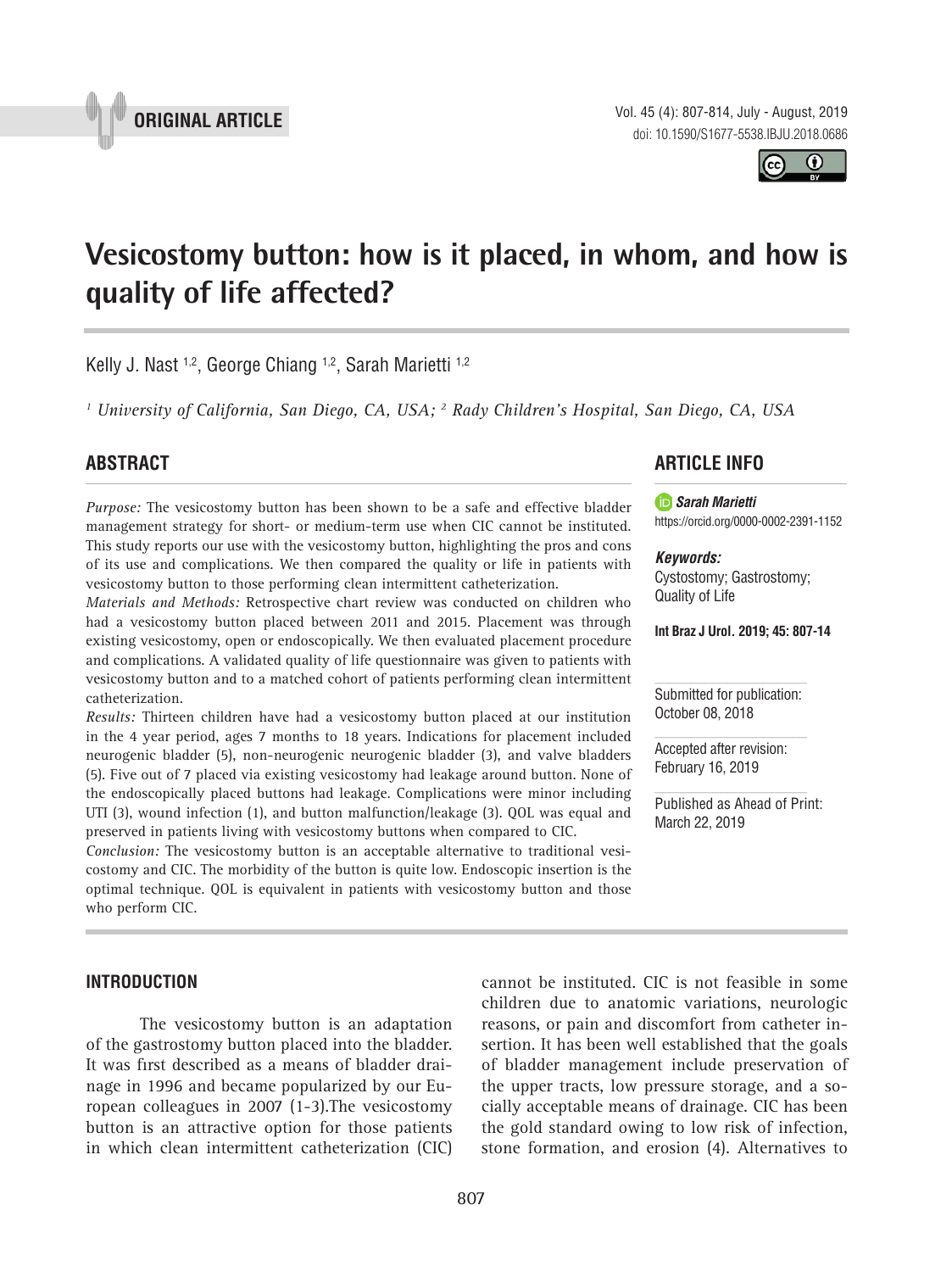Vol. 45 (4): 807-814, July - August, 2019 doi: 10.1590/S1677-5538.IBJU.2018.0686

 $\bf \Theta$ 

**Vesicostomy button: how is it placed, in whom, and how is quality of life affected?**

Kelly J. Nast<sup>1,2</sup>, George Chiang<sup>1,2</sup>, Sarah Marietti<sup>1,2</sup>

<sup>1</sup> University of California, San Diego, CA, USA; <sup>2</sup> Rady Children's Hospital, San Diego, CA, USA

**\_\_\_\_\_\_\_\_\_\_\_\_\_\_\_\_\_\_\_\_\_\_\_\_\_\_\_\_\_\_\_\_\_\_\_\_\_\_\_\_\_\_\_\_\_\_\_**

# **ABSTRACT**

*Purpose:* The vesicostomy button has been shown to be a safe and effective bladder management strategy for short- or medium-term use when CIC cannot be instituted. This study reports our use with the vesicostomy button, highlighting the pros and cons of its use and complications. We then compared the quality or life in patients with vesicostomy button to those performing clean intermittent catheterization.

*Materials and Methods:* Retrospective chart review was conducted on children who had a vesicostomy button placed between 2011 and 2015. Placement was through existing vesicostomy, open or endoscopically. We then evaluated placement procedure and complications. A validated quality of life questionnaire was given to patients with vesicostomy button and to a matched cohort of patients performing clean intermittent catheterization.

*Results:* Thirteen children have had a vesicostomy button placed at our institution in the 4 year period, ages 7 months to 18 years. Indications for placement included neurogenic bladder (5), non-neurogenic neurogenic bladder (3), and valve bladders (5). Five out of 7 placed via existing vesicostomy had leakage around button. None of the endoscopically placed buttons had leakage. Complications were minor including UTI (3), wound infection (1), and button malfunction/leakage (3). QOL was equal and preserved in patients living with vesicostomy buttons when compared to CIC.

*Conclusion:* The vesicostomy button is an acceptable alternative to traditional vesicostomy and CIC. The morbidity of the button is quite low. Endoscopic insertion is the optimal technique. QOL is equivalent in patients with vesicostomy button and those who perform CIC.

# **INTRODUCTION**

The vesicostomy button is an adaptation of the gastrostomy button placed into the bladder. It was first described as a means of bladder drainage in 1996 and became popularized by our European colleagues in 2007 (1-3).The vesicostomy button is an attractive option for those patients in which clean intermittent catheterization (CIC)

cannot be instituted. CIC is not feasible in some children due to anatomic variations, neurologic reasons, or pain and discomfort from catheter insertion. It has been well established that the goals of bladder management include preservation of the upper tracts, low pressure storage, and a socially acceptable means of drainage. CIC has been the gold standard owing to low risk of infection, stone formation, and erosion (4). Alternatives to

# **ARTICLE INFO**

*Sarah Marietti* https://orcid.org/0000-0002-2391-1152

*Keywords:* Cystostomy; Gastrostomy; Quality of Life

**Int Braz J Urol. 2019; 45: 807-14**

Submitted for publication: October 08, 2018

Accepted after revision: February 16, 2019

Published as Ahead of Print: March 22, 2019

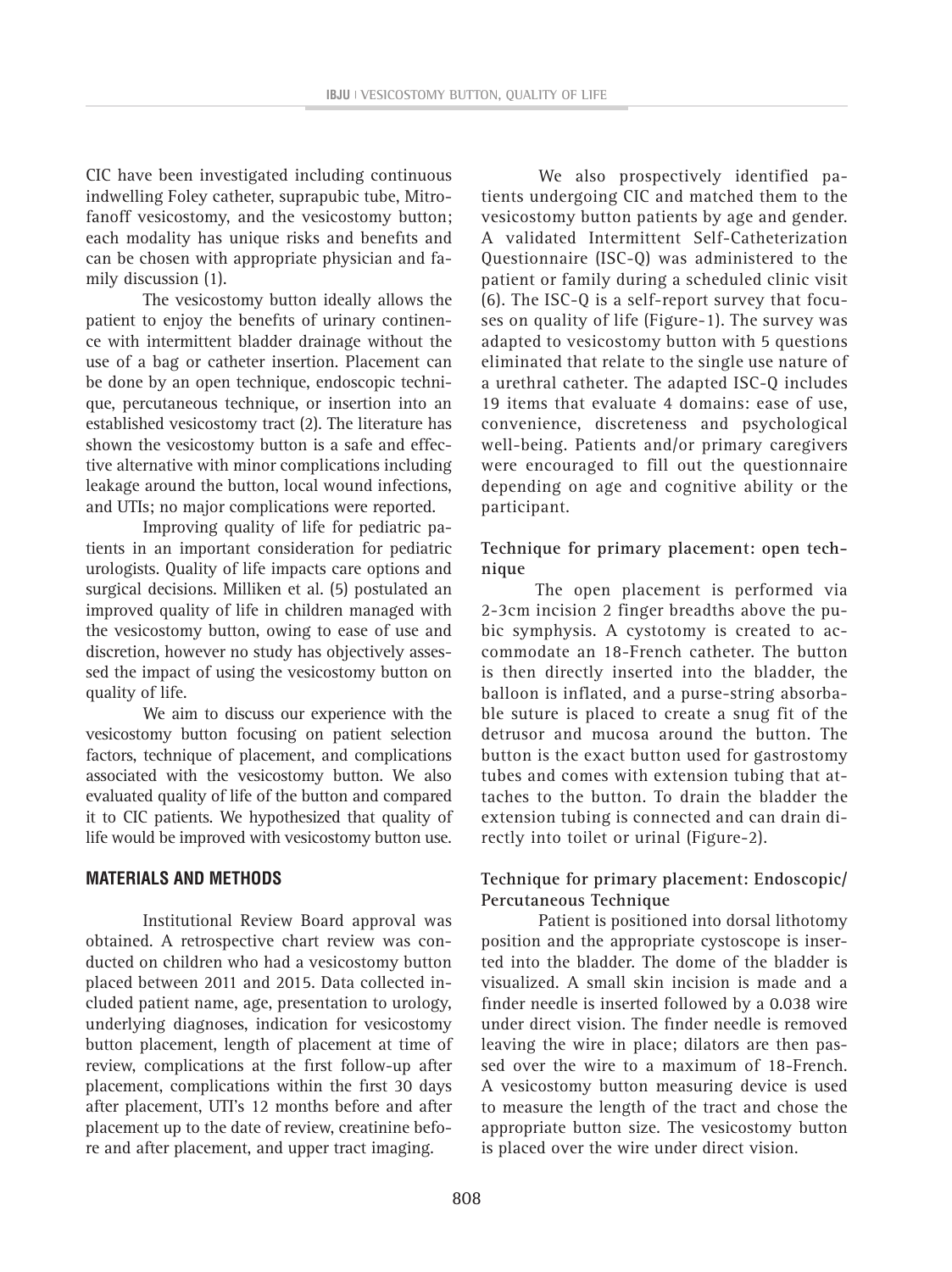CIC have been investigated including continuous indwelling Foley catheter, suprapubic tube, Mitrofanoff vesicostomy, and the vesicostomy button; each modality has unique risks and benefits and can be chosen with appropriate physician and family discussion (1).

The vesicostomy button ideally allows the patient to enjoy the benefits of urinary continence with intermittent bladder drainage without the use of a bag or catheter insertion. Placement can be done by an open technique, endoscopic technique, percutaneous technique, or insertion into an established vesicostomy tract (2). The literature has shown the vesicostomy button is a safe and effective alternative with minor complications including leakage around the button, local wound infections, and UTIs; no major complications were reported.

Improving quality of life for pediatric patients in an important consideration for pediatric urologists. Quality of life impacts care options and surgical decisions. Milliken et al. (5) postulated an improved quality of life in children managed with the vesicostomy button, owing to ease of use and discretion, however no study has objectively assessed the impact of using the vesicostomy button on quality of life.

We aim to discuss our experience with the vesicostomy button focusing on patient selection factors, technique of placement, and complications associated with the vesicostomy button. We also evaluated quality of life of the button and compared it to CIC patients. We hypothesized that quality of life would be improved with vesicostomy button use.

# **MATERIALS AND METHODS**

Institutional Review Board approval was obtained. A retrospective chart review was conducted on children who had a vesicostomy button placed between 2011 and 2015. Data collected included patient name, age, presentation to urology, underlying diagnoses, indication for vesicostomy button placement, length of placement at time of review, complications at the first follow-up after placement, complications within the first 30 days after placement, UTI's 12 months before and after placement up to the date of review, creatinine before and after placement, and upper tract imaging.

We also prospectively identified patients undergoing CIC and matched them to the vesicostomy button patients by age and gender. A validated Intermittent Self-Catheterization Questionnaire (ISC-Q) was administered to the patient or family during a scheduled clinic visit (6). The ISC-Q is a self-report survey that focuses on quality of life (Figure-1). The survey was adapted to vesicostomy button with 5 questions eliminated that relate to the single use nature of a urethral catheter. The adapted ISC-Q includes 19 items that evaluate 4 domains: ease of use, convenience, discreteness and psychological well-being. Patients and/or primary caregivers were encouraged to fill out the questionnaire depending on age and cognitive ability or the participant.

# **Technique for primary placement: open technique**

The open placement is performed via 2-3cm incision 2 finger breadths above the pubic symphysis. A cystotomy is created to accommodate an 18-French catheter. The button is then directly inserted into the bladder, the balloon is inflated, and a purse-string absorbable suture is placed to create a snug fit of the detrusor and mucosa around the button. The button is the exact button used for gastrostomy tubes and comes with extension tubing that attaches to the button. To drain the bladder the extension tubing is connected and can drain directly into toilet or urinal (Figure-2).

# **Technique for primary placement: Endoscopic/ Percutaneous Technique**

Patient is positioned into dorsal lithotomy position and the appropriate cystoscope is inserted into the bladder. The dome of the bladder is visualized. A small skin incision is made and a finder needle is inserted followed by a 0.038 wire under direct vision. The finder needle is removed leaving the wire in place; dilators are then passed over the wire to a maximum of 18-French. A vesicostomy button measuring device is used to measure the length of the tract and chose the appropriate button size. The vesicostomy button is placed over the wire under direct vision.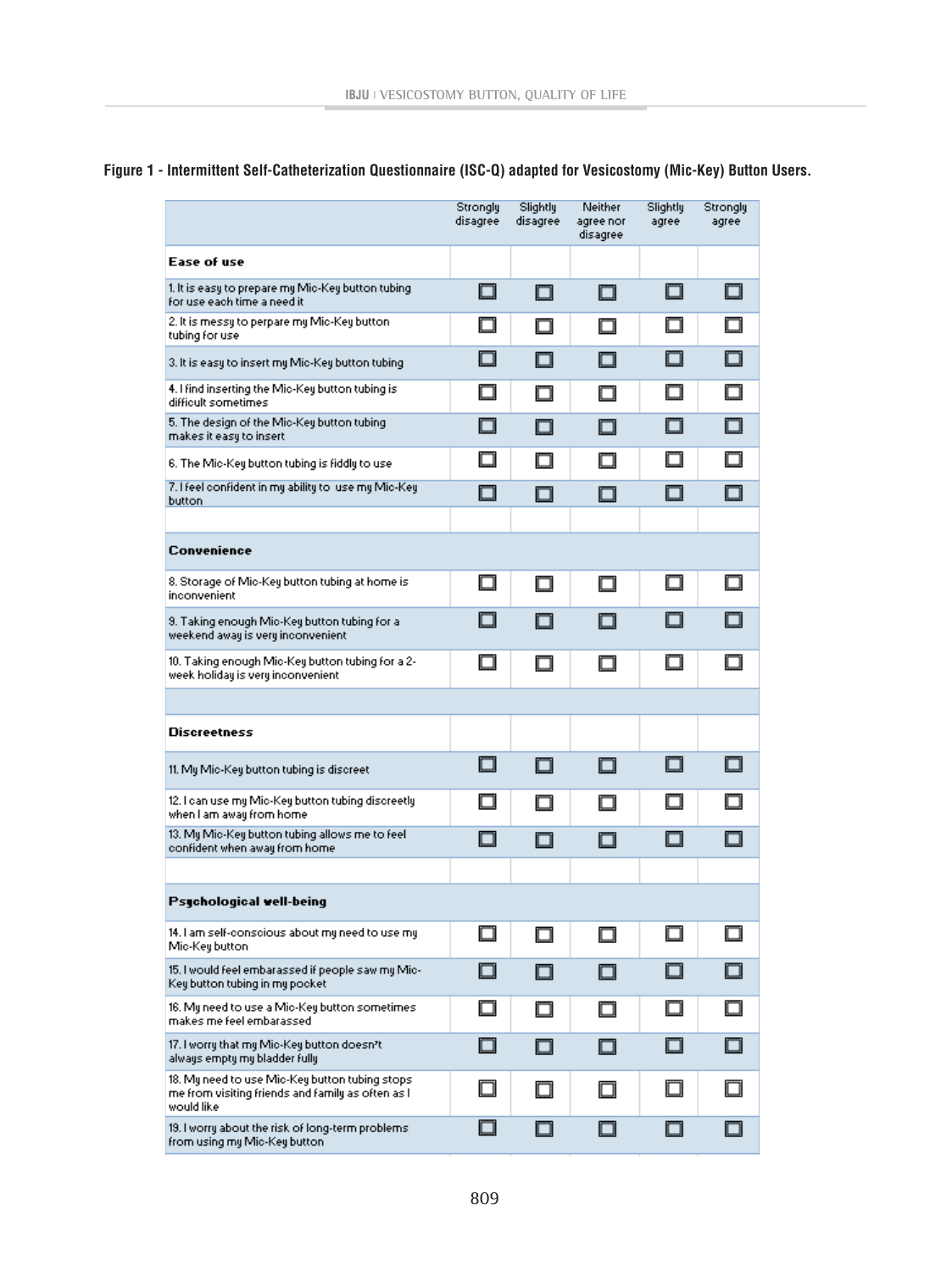# **Figure 1 - Intermittent Self-Catheterization Questionnaire (ISC-Q) adapted for Vesicostomy (Mic-Key) Button Users.**

|                                                                                                                    | Strongly<br>disagree | Slightly<br>disagree | Neither<br>agree nor<br>disagree | Slightly<br>agree | Strongly<br>agree |
|--------------------------------------------------------------------------------------------------------------------|----------------------|----------------------|----------------------------------|-------------------|-------------------|
| Ease of use                                                                                                        |                      |                      |                                  |                   |                   |
| 1. It is easy to prepare my Mic-Key button tubing<br>for use each time a need it                                   | 0                    | □                    | □                                | П                 | n                 |
| 2. It is messy to perpare my Mic-Key button-<br>tubing for use                                                     | ٠                    | ⊓                    | □                                | ш                 | ⊓                 |
| 3. It is easy to insert my Mic-Key button tubing.                                                                  | ┓                    | П                    | ⊓                                | □                 | п                 |
| 4. I find inserting the Mic-Key button tubing is<br>difficult sometimes                                            | □                    | П                    | П                                | ш                 | n                 |
| 5. The design of the Mic-Key button tubing<br>makes it easy to insert.                                             | ⊓                    | n                    | п                                | ⊓                 | n                 |
| 6. The Mic-Key button tubing is fiddly to use                                                                      | n                    | П                    | ⊓                                | ⊓                 | п                 |
| 7. I feel confident in my ability to luse my Mic-Key<br>button                                                     | □                    | n                    | □                                | n                 | n                 |
|                                                                                                                    |                      |                      |                                  |                   |                   |
| Convenience                                                                                                        |                      |                      |                                  |                   |                   |
| 8. Storage of Mic-Key button tubing at home is:<br>inconvenient                                                    | □                    | □                    | □                                | П                 |                   |
| 9. Taking enough Mic-Key button tubing for a<br>weekend away is very inconvenient                                  | ┓                    | ▅                    |                                  |                   |                   |
| 10. Taking enough Mic-Key button tubing for a 2-<br>week holiday is very inconvenient.                             | П                    | □                    | П                                | ⊓                 | П                 |
|                                                                                                                    |                      |                      |                                  |                   |                   |
| <b>Discreetness</b>                                                                                                |                      |                      |                                  |                   |                   |
| 11. My Mic-Key button tubing is discreet.                                                                          | ┓                    | П                    | ⊓                                | п                 |                   |
| 12. I can use my Mic-Key button tubing discreetly<br>when I am away from home                                      | -1                   | П                    | П                                |                   |                   |
| 13. My Mic-Key button tubing allows me to feel.<br>confident when away from home                                   | $\Box$               | П                    | П                                | ⊓                 |                   |
|                                                                                                                    |                      |                      |                                  |                   |                   |
| Psychological well-being                                                                                           |                      |                      |                                  |                   |                   |
| 14. I am self-conscious about my need to use my<br>Mic-Key button                                                  |                      | п                    |                                  |                   | ┐                 |
| 15. I would feel embarassed if people saw my Mic-<br>Key button tubing in my pocket                                | □                    | ⊓                    | n                                | ⊓                 | n                 |
| 16. My need to use a Mic-Key button sometimes.<br>makes me feel embarassed.                                        | □                    | ⊓                    | ⊓                                | П                 | п                 |
| 17. I worry that my Mic-Key button doesn't<br>always empty my bladder fully                                        | □                    | n                    | □                                | П                 | n                 |
| 18. My need to use Mic-Key button tubing stops:<br>me from visiting friends and family as often as l<br>would like | ┒                    | ⊓                    | ⊓                                |                   |                   |
| 19. I worry about the risk of long-term problems<br>from using my Mic-Key button                                   | ┒                    | □                    |                                  |                   |                   |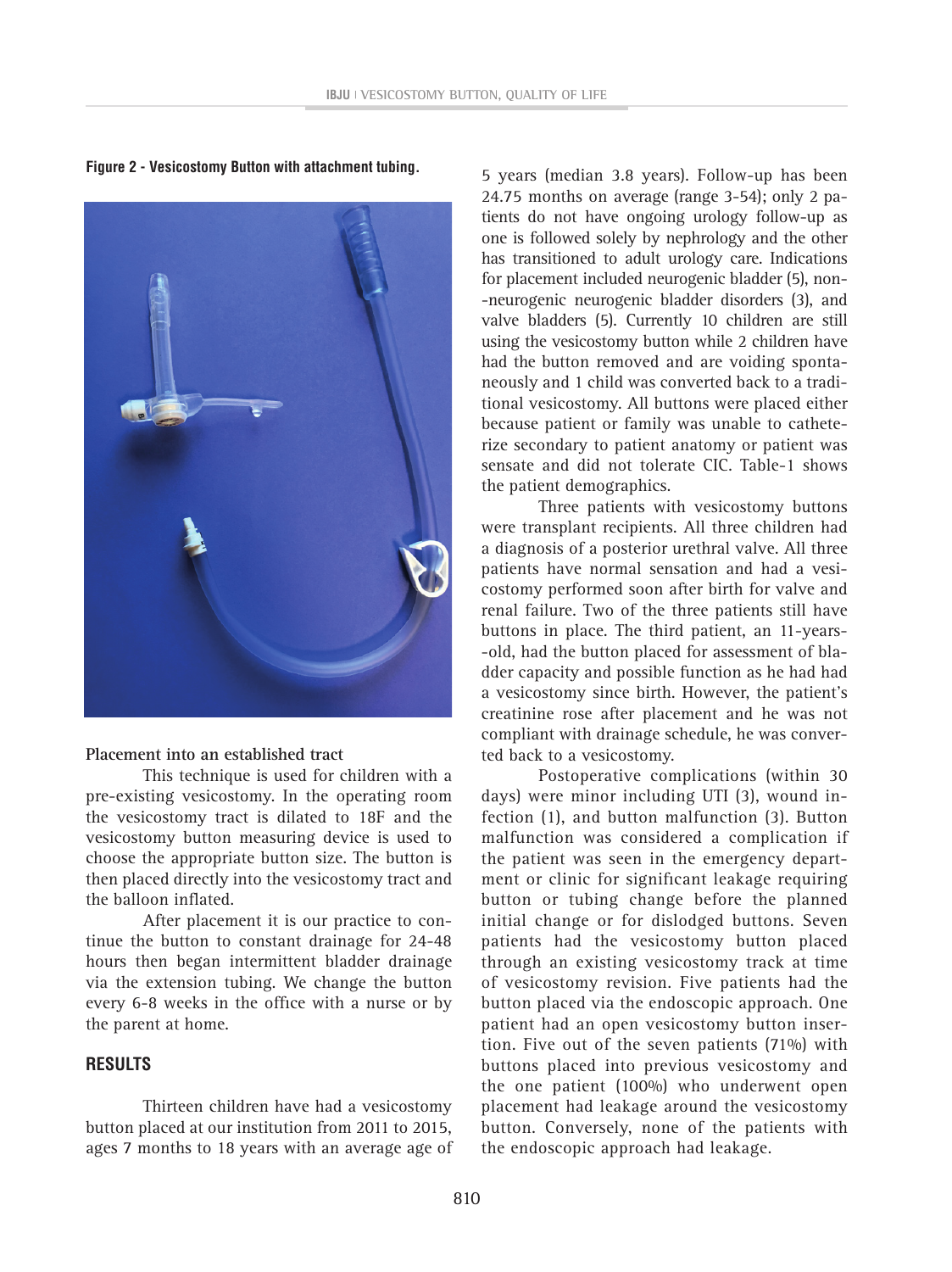

**Figure 2 - Vesicostomy Button with attachment tubing.**

## **Placement into an established tract**

This technique is used for children with a pre-existing vesicostomy. In the operating room the vesicostomy tract is dilated to 18F and the vesicostomy button measuring device is used to choose the appropriate button size. The button is then placed directly into the vesicostomy tract and the balloon inflated.

After placement it is our practice to continue the button to constant drainage for 24-48 hours then began intermittent bladder drainage via the extension tubing. We change the button every 6-8 weeks in the office with a nurse or by the parent at home.

# **RESULTS**

Thirteen children have had a vesicostomy button placed at our institution from 2011 to 2015, ages 7 months to 18 years with an average age of

5 years (median 3.8 years). Follow-up has been 24.75 months on average (range 3-54); only 2 patients do not have ongoing urology follow-up as one is followed solely by nephrology and the other has transitioned to adult urology care. Indications for placement included neurogenic bladder (5), non- -neurogenic neurogenic bladder disorders (3), and valve bladders (5). Currently 10 children are still using the vesicostomy button while 2 children have had the button removed and are voiding spontaneously and 1 child was converted back to a traditional vesicostomy. All buttons were placed either because patient or family was unable to catheterize secondary to patient anatomy or patient was sensate and did not tolerate CIC. Table-1 shows the patient demographics.

Three patients with vesicostomy buttons were transplant recipients. All three children had a diagnosis of a posterior urethral valve. All three patients have normal sensation and had a vesicostomy performed soon after birth for valve and renal failure. Two of the three patients still have buttons in place. The third patient, an 11-years- -old, had the button placed for assessment of bladder capacity and possible function as he had had a vesicostomy since birth. However, the patient's creatinine rose after placement and he was not compliant with drainage schedule, he was converted back to a vesicostomy.

Postoperative complications (within 30 days) were minor including UTI (3), wound infection (1), and button malfunction (3). Button malfunction was considered a complication if the patient was seen in the emergency department or clinic for significant leakage requiring button or tubing change before the planned initial change or for dislodged buttons. Seven patients had the vesicostomy button placed through an existing vesicostomy track at time of vesicostomy revision. Five patients had the button placed via the endoscopic approach. One patient had an open vesicostomy button insertion. Five out of the seven patients (71%) with buttons placed into previous vesicostomy and the one patient (100%) who underwent open placement had leakage around the vesicostomy button. Conversely, none of the patients with the endoscopic approach had leakage.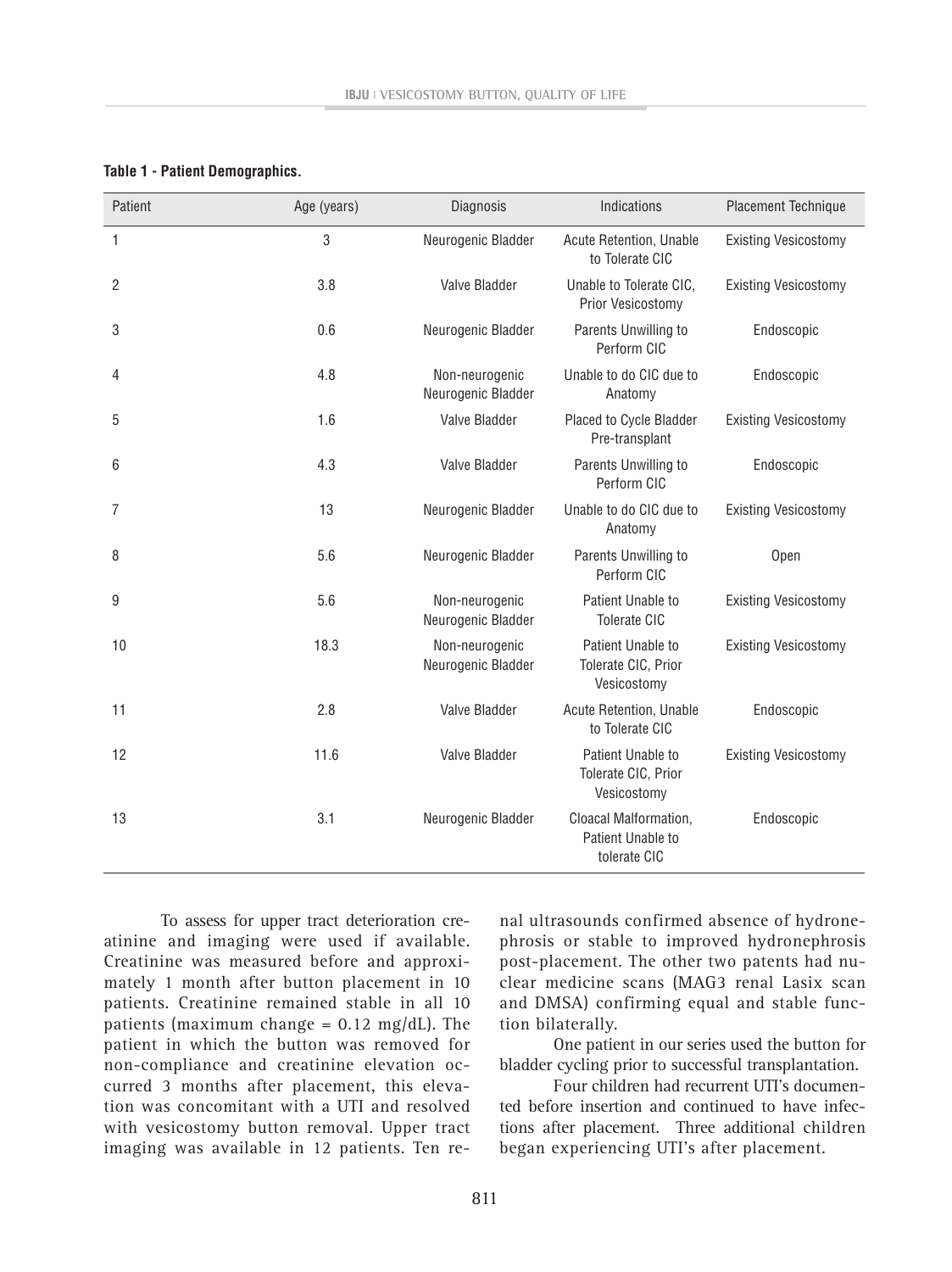| Patient | Age (years) | Diagnosis                            | Indications                                                | <b>Placement Technique</b>  |  |
|---------|-------------|--------------------------------------|------------------------------------------------------------|-----------------------------|--|
| 1       | 3           | Neurogenic Bladder                   | Acute Retention, Unable<br>to Tolerate CIC                 | <b>Existing Vesicostomy</b> |  |
| 2       | 3.8         | Valve Bladder                        | Unable to Tolerate CIC,<br>Prior Vesicostomy               | <b>Existing Vesicostomy</b> |  |
| 3       | 0.6         | Neurogenic Bladder                   | Parents Unwilling to<br>Perform CIC                        | Endoscopic                  |  |
| 4       | 4.8         | Non-neurogenic<br>Neurogenic Bladder | Unable to do CIC due to<br>Anatomy                         | Endoscopic                  |  |
| 5       | 1.6         | Valve Bladder                        | Placed to Cycle Bladder<br>Pre-transplant                  | <b>Existing Vesicostomy</b> |  |
| 6       | 4.3         | Valve Bladder                        | Parents Unwilling to<br>Perform CIC                        | Endoscopic                  |  |
| 7       | 13          | Neurogenic Bladder                   | Unable to do CIC due to<br>Anatomy                         | <b>Existing Vesicostomy</b> |  |
| 8       | 5.6         | Neurogenic Bladder                   | Parents Unwilling to<br>Perform CIC                        | Open                        |  |
| 9       | 5.6         | Non-neurogenic<br>Neurogenic Bladder | Patient Unable to<br><b>Tolerate CIC</b>                   | <b>Existing Vesicostomy</b> |  |
| 10      | 18.3        | Non-neurogenic<br>Neurogenic Bladder | Patient Unable to<br>Tolerate CIC, Prior<br>Vesicostomy    | <b>Existing Vesicostomy</b> |  |
| 11      | 2.8         | Valve Bladder                        | <b>Acute Retention, Unable</b><br>to Tolerate CIC          | Endoscopic                  |  |
| 12      | 11.6        | Valve Bladder                        | Patient Unable to<br>Tolerate CIC, Prior<br>Vesicostomy    | <b>Existing Vesicostomy</b> |  |
| 13      | 3.1         | Neurogenic Bladder                   | Cloacal Malformation,<br>Patient Unable to<br>tolerate CIC | Endoscopic                  |  |

#### **Table 1 - Patient Demographics.**

To assess for upper tract deterioration creatinine and imaging were used if available. Creatinine was measured before and approximately 1 month after button placement in 10 patients. Creatinine remained stable in all 10 patients (maximum change =  $0.12 \text{ mg/dL}$ ). The patient in which the button was removed for non-compliance and creatinine elevation occurred 3 months after placement, this elevation was concomitant with a UTI and resolved with vesicostomy button removal. Upper tract imaging was available in 12 patients. Ten re-

nal ultrasounds confirmed absence of hydronephrosis or stable to improved hydronephrosis post-placement. The other two patents had nuclear medicine scans (MAG3 renal Lasix scan and DMSA) confirming equal and stable function bilaterally.

One patient in our series used the button for bladder cycling prior to successful transplantation.

Four children had recurrent UTI's documented before insertion and continued to have infections after placement. Three additional children began experiencing UTI's after placement.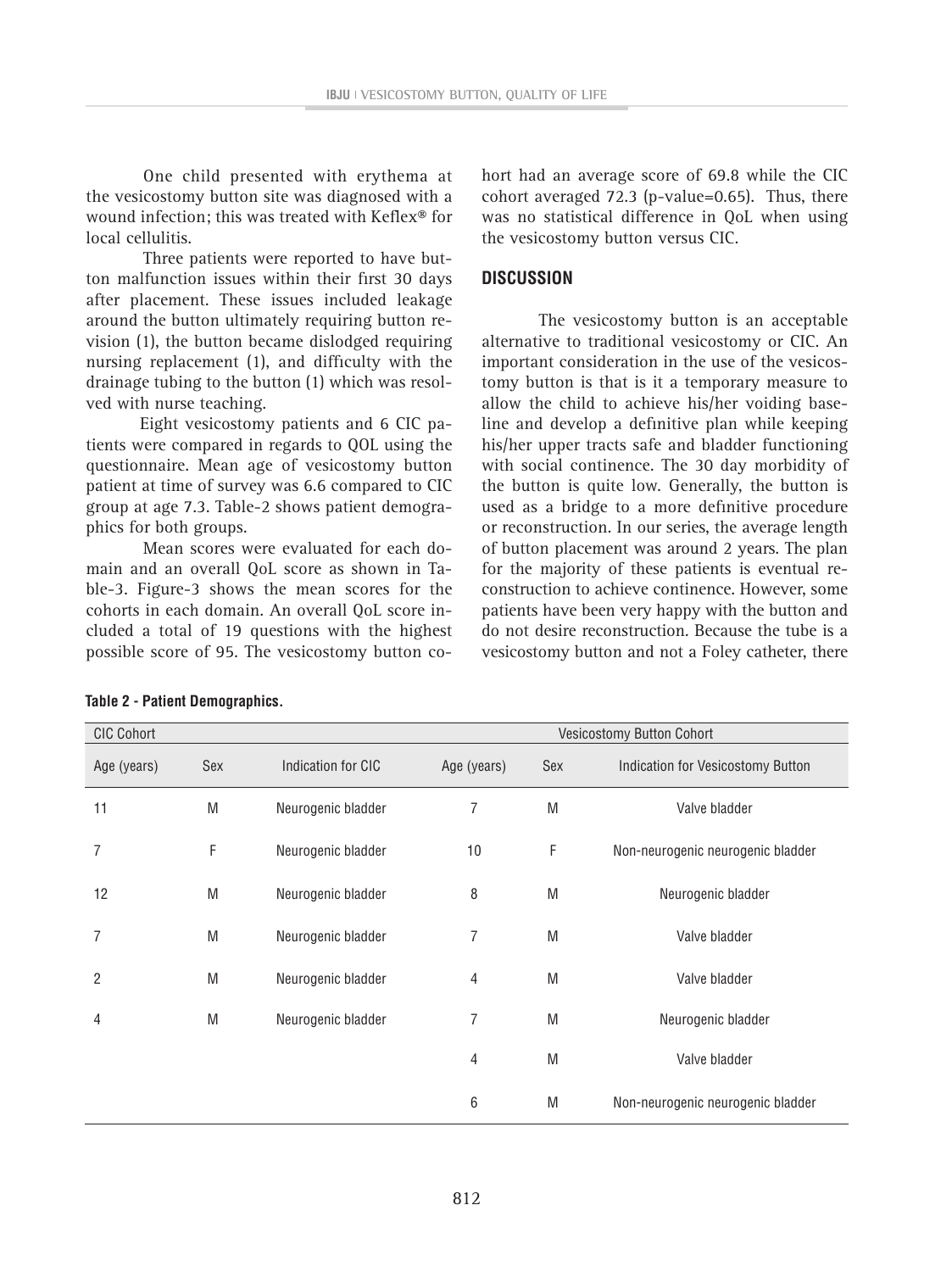One child presented with erythema at the vesicostomy button site was diagnosed with a wound infection; this was treated with Keflex® for local cellulitis.

Three patients were reported to have button malfunction issues within their first 30 days after placement. These issues included leakage around the button ultimately requiring button revision (1), the button became dislodged requiring nursing replacement (1), and difficulty with the drainage tubing to the button (1) which was resolved with nurse teaching.

Eight vesicostomy patients and 6 CIC patients were compared in regards to QOL using the questionnaire. Mean age of vesicostomy button patient at time of survey was 6.6 compared to CIC group at age 7.3. Table-2 shows patient demographics for both groups.

Mean scores were evaluated for each domain and an overall QoL score as shown in Table-3. Figure-3 shows the mean scores for the cohorts in each domain. An overall QoL score included a total of 19 questions with the highest possible score of 95. The vesicostomy button cohort had an average score of 69.8 while the CIC cohort averaged 72.3 (p-value=0.65). Thus, there was no statistical difference in QoL when using the vesicostomy button versus CIC.

#### **DISCUSSION**

The vesicostomy button is an acceptable alternative to traditional vesicostomy or CIC. An important consideration in the use of the vesicostomy button is that is it a temporary measure to allow the child to achieve his/her voiding baseline and develop a definitive plan while keeping his/her upper tracts safe and bladder functioning with social continence. The 30 day morbidity of the button is quite low. Generally, the button is used as a bridge to a more definitive procedure or reconstruction. In our series, the average length of button placement was around 2 years. The plan for the majority of these patients is eventual reconstruction to achieve continence. However, some patients have been very happy with the button and do not desire reconstruction. Because the tube is a vesicostomy button and not a Foley catheter, there

| <b>CIC Cohort</b><br>Vesicostomy Button Cohort |     |                    |                |     |                                   |
|------------------------------------------------|-----|--------------------|----------------|-----|-----------------------------------|
| Age (years)                                    | Sex | Indication for CIC | Age (years)    | Sex | Indication for Vesicostomy Button |
|                                                |     |                    |                |     |                                   |
| 11                                             | M   | Neurogenic bladder | 7              | M   | Valve bladder                     |
| 7                                              | F   | Neurogenic bladder | 10             | F   | Non-neurogenic neurogenic bladder |
| 12                                             | M   | Neurogenic bladder | 8              | M   | Neurogenic bladder                |
| 7                                              | M   | Neurogenic bladder | 7              | M   | Valve bladder                     |
| 2                                              | M   | Neurogenic bladder | $\overline{4}$ | M   | Valve bladder                     |
| 4                                              | M   | Neurogenic bladder | 7              | M   | Neurogenic bladder                |
|                                                |     |                    | 4              | M   | Valve bladder                     |
|                                                |     |                    | 6              | M   | Non-neurogenic neurogenic bladder |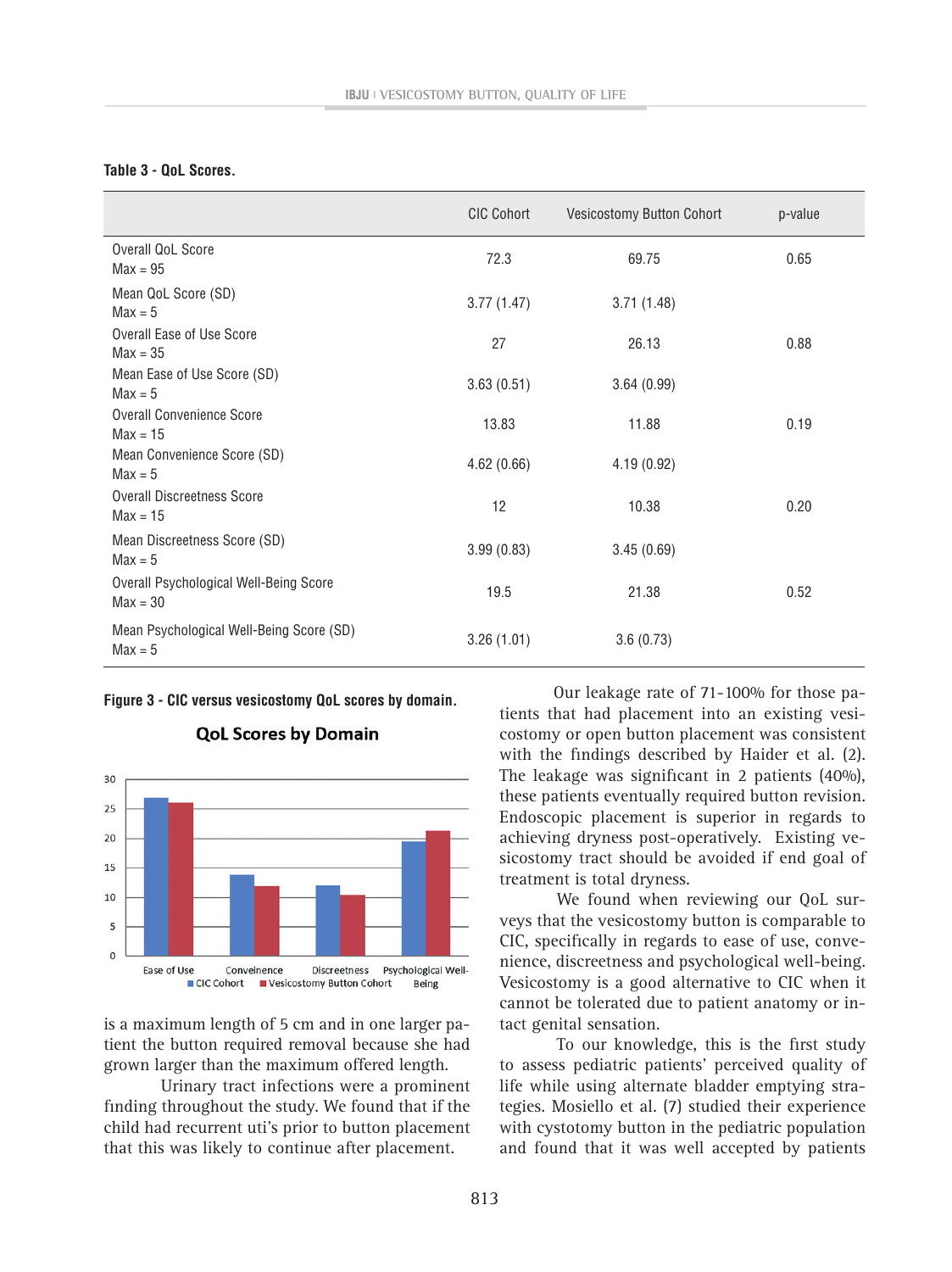#### **Table 3 - QoL Scores.**

|                                                       | <b>CIC Cohort</b> | Vesicostomy Button Cohort | p-value |
|-------------------------------------------------------|-------------------|---------------------------|---------|
| Overall QoL Score<br>$Max = 95$                       | 72.3              | 69.75                     | 0.65    |
| Mean QoL Score (SD)<br>$Max = 5$                      | 3.77(1.47)        | 3.71(1.48)                |         |
| Overall Ease of Use Score<br>$Max = 35$               | 27                | 26.13                     | 0.88    |
| Mean Ease of Use Score (SD)<br>$Max = 5$              | 3.63(0.51)        | 3.64(0.99)                |         |
| <b>Overall Convenience Score</b><br>$Max = 15$        | 13.83             | 11.88                     | 0.19    |
| Mean Convenience Score (SD)<br>$Max = 5$              | 4.62(0.66)        | 4.19(0.92)                |         |
| <b>Overall Discreetness Score</b><br>$Max = 15$       | 12                | 10.38                     | 0.20    |
| Mean Discreetness Score (SD)<br>$Max = 5$             | 3.99(0.83)        | 3.45(0.69)                |         |
| Overall Psychological Well-Being Score<br>$Max = 30$  | 19.5              | 21.38                     | 0.52    |
| Mean Psychological Well-Being Score (SD)<br>$Max = 5$ | 3.26(1.01)        | 3.6(0.73)                 |         |

**Figure 3 - CIC versus vesicostomy QoL scores by domain.**



**QoL Scores by Domain** 

is a maximum length of 5 cm and in one larger patient the button required removal because she had grown larger than the maximum offered length.

Urinary tract infections were a prominent finding throughout the study. We found that if the child had recurrent uti's prior to button placement that this was likely to continue after placement.

Our leakage rate of 71-100% for those patients that had placement into an existing vesicostomy or open button placement was consistent with the findings described by Haider et al. (2). The leakage was significant in 2 patients (40%), these patients eventually required button revision. Endoscopic placement is superior in regards to achieving dryness post-operatively. Existing vesicostomy tract should be avoided if end goal of treatment is total dryness.

We found when reviewing our QoL surveys that the vesicostomy button is comparable to CIC, specifically in regards to ease of use, convenience, discreetness and psychological well-being. Vesicostomy is a good alternative to CIC when it cannot be tolerated due to patient anatomy or intact genital sensation.

To our knowledge, this is the first study to assess pediatric patients' perceived quality of life while using alternate bladder emptying strategies. Mosiello et al. (7) studied their experience with cystotomy button in the pediatric population and found that it was well accepted by patients